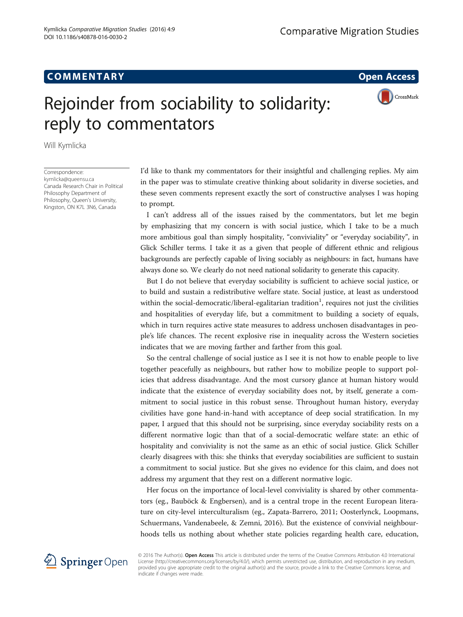## **COMMENTARY COMMENTARY Open Access**

CrossMark

# Rejoinder from sociability to solidarity: reply to commentators

Will Kymlicka

Correspondence: [kymlicka@queensu.ca](mailto:kymlicka@queensu.ca)

Canada Research Chair in Political Philosophy Department of Philosophy, Queen's University, Kingston, ON K7L 3N6, Canada

I'd like to thank my commentators for their insightful and challenging replies. My aim in the paper was to stimulate creative thinking about solidarity in diverse societies, and these seven comments represent exactly the sort of constructive analyses I was hoping to prompt.

I can't address all of the issues raised by the commentators, but let me begin by emphasizing that my concern is with social justice, which I take to be a much more ambitious goal than simply hospitality, "conviviality" or "everyday sociability", in Glick Schiller terms. I take it as a given that people of different ethnic and religious backgrounds are perfectly capable of living sociably as neighbours: in fact, humans have always done so. We clearly do not need national solidarity to generate this capacity.

But I do not believe that everyday sociability is sufficient to achieve social justice, or to build and sustain a redistributive welfare state. Social justice, at least as understood within the social-democratic/liberal-egalitarian tradition<sup>1</sup>, requires not just the civilities and hospitalities of everyday life, but a commitment to building a society of equals, which in turn requires active state measures to address unchosen disadvantages in people's life chances. The recent explosive rise in inequality across the Western societies indicates that we are moving farther and farther from this goal.

So the central challenge of social justice as I see it is not how to enable people to live together peacefully as neighbours, but rather how to mobilize people to support policies that address disadvantage. And the most cursory glance at human history would indicate that the existence of everyday sociability does not, by itself, generate a commitment to social justice in this robust sense. Throughout human history, everyday civilities have gone hand-in-hand with acceptance of deep social stratification. In my paper, I argued that this should not be surprising, since everyday sociability rests on a different normative logic than that of a social-democratic welfare state: an ethic of hospitality and conviviality is not the same as an ethic of social justice. Glick Schiller clearly disagrees with this: she thinks that everyday sociabilities are sufficient to sustain a commitment to social justice. But she gives no evidence for this claim, and does not address my argument that they rest on a different normative logic.

Her focus on the importance of local-level conviviality is shared by other commentators (eg., Bauböck & Engbersen), and is a central trope in the recent European literature on city-level interculturalism (eg., Zapata-Barrero, [2011](#page-4-0); Oosterlynck, Loopmans, Schuermans, Vandenabeele, & Zemni, [2016\)](#page-4-0). But the existence of convivial neighbourhoods tells us nothing about whether state policies regarding health care, education,



© 2016 The Author(s). Open Access This article is distributed under the terms of the Creative Commons Attribution 4.0 International License [\(http://creativecommons.org/licenses/by/4.0/](http://creativecommons.org/licenses/by/4.0/)), which permits unrestricted use, distribution, and reproduction in any medium, provided you give appropriate credit to the original author(s) and the source, provide a link to the Creative Commons license, and indicate if changes were made.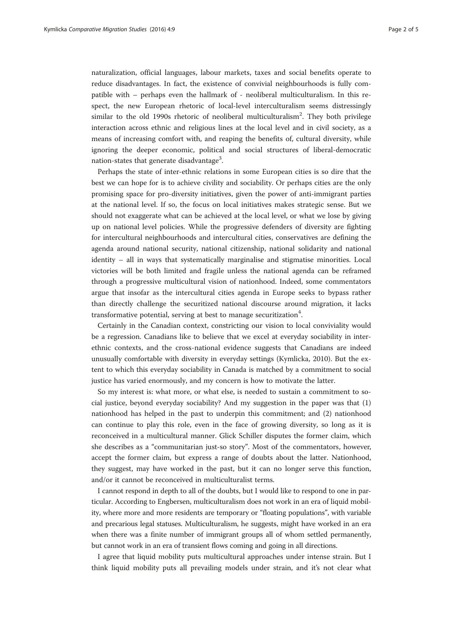naturalization, official languages, labour markets, taxes and social benefits operate to reduce disadvantages. In fact, the existence of convivial neighbourhoods is fully compatible with – perhaps even the hallmark of - neoliberal multiculturalism. In this respect, the new European rhetoric of local-level interculturalism seems distressingly similar to the old 1990s rhetoric of neoliberal multiculturalism<sup>2</sup>. They both privilege interaction across ethnic and religious lines at the local level and in civil society, as a means of increasing comfort with, and reaping the benefits of, cultural diversity, while ignoring the deeper economic, political and social structures of liberal-democratic nation-states that generate disadvantage<sup>3</sup>.

Perhaps the state of inter-ethnic relations in some European cities is so dire that the best we can hope for is to achieve civility and sociability. Or perhaps cities are the only promising space for pro-diversity initiatives, given the power of anti-immigrant parties at the national level. If so, the focus on local initiatives makes strategic sense. But we should not exaggerate what can be achieved at the local level, or what we lose by giving up on national level policies. While the progressive defenders of diversity are fighting for intercultural neighbourhoods and intercultural cities, conservatives are defining the agenda around national security, national citizenship, national solidarity and national identity – all in ways that systematically marginalise and stigmatise minorities. Local victories will be both limited and fragile unless the national agenda can be reframed through a progressive multicultural vision of nationhood. Indeed, some commentators argue that insofar as the intercultural cities agenda in Europe seeks to bypass rather than directly challenge the securitized national discourse around migration, it lacks transformative potential, serving at best to manage securitization $^4$ .

Certainly in the Canadian context, constricting our vision to local conviviality would be a regression. Canadians like to believe that we excel at everyday sociability in interethnic contexts, and the cross-national evidence suggests that Canadians are indeed unusually comfortable with diversity in everyday settings (Kymlicka, [2010](#page-4-0)). But the extent to which this everyday sociability in Canada is matched by a commitment to social justice has varied enormously, and my concern is how to motivate the latter.

So my interest is: what more, or what else, is needed to sustain a commitment to social justice, beyond everyday sociability? And my suggestion in the paper was that (1) nationhood has helped in the past to underpin this commitment; and (2) nationhood can continue to play this role, even in the face of growing diversity, so long as it is reconceived in a multicultural manner. Glick Schiller disputes the former claim, which she describes as a "communitarian just-so story". Most of the commentators, however, accept the former claim, but express a range of doubts about the latter. Nationhood, they suggest, may have worked in the past, but it can no longer serve this function, and/or it cannot be reconceived in multiculturalist terms.

I cannot respond in depth to all of the doubts, but I would like to respond to one in particular. According to Engbersen, multiculturalism does not work in an era of liquid mobility, where more and more residents are temporary or "floating populations", with variable and precarious legal statuses. Multiculturalism, he suggests, might have worked in an era when there was a finite number of immigrant groups all of whom settled permanently, but cannot work in an era of transient flows coming and going in all directions.

I agree that liquid mobility puts multicultural approaches under intense strain. But I think liquid mobility puts all prevailing models under strain, and it's not clear what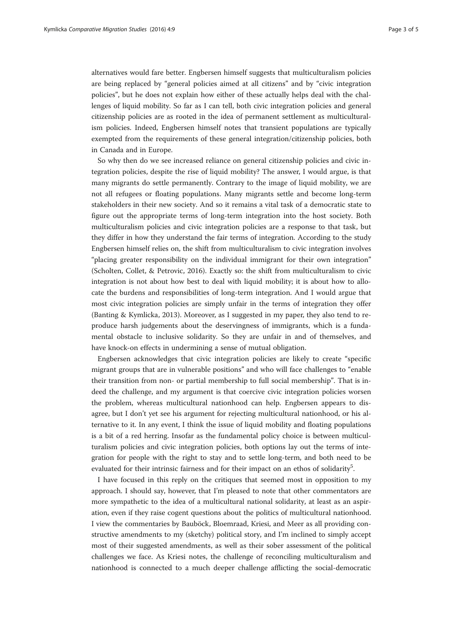alternatives would fare better. Engbersen himself suggests that multiculturalism policies are being replaced by "general policies aimed at all citizens" and by "civic integration policies", but he does not explain how either of these actually helps deal with the challenges of liquid mobility. So far as I can tell, both civic integration policies and general citizenship policies are as rooted in the idea of permanent settlement as multiculturalism policies. Indeed, Engbersen himself notes that transient populations are typically exempted from the requirements of these general integration/citizenship policies, both in Canada and in Europe.

So why then do we see increased reliance on general citizenship policies and civic integration policies, despite the rise of liquid mobility? The answer, I would argue, is that many migrants do settle permanently. Contrary to the image of liquid mobility, we are not all refugees or floating populations. Many migrants settle and become long-term stakeholders in their new society. And so it remains a vital task of a democratic state to figure out the appropriate terms of long-term integration into the host society. Both multiculturalism policies and civic integration policies are a response to that task, but they differ in how they understand the fair terms of integration. According to the study Engbersen himself relies on, the shift from multiculturalism to civic integration involves "placing greater responsibility on the individual immigrant for their own integration" (Scholten, Collet, & Petrovic, [2016\)](#page-4-0). Exactly so: the shift from multiculturalism to civic integration is not about how best to deal with liquid mobility; it is about how to allocate the burdens and responsibilities of long-term integration. And I would argue that most civic integration policies are simply unfair in the terms of integration they offer (Banting & Kymlicka, [2013](#page-4-0)). Moreover, as I suggested in my paper, they also tend to reproduce harsh judgements about the deservingness of immigrants, which is a fundamental obstacle to inclusive solidarity. So they are unfair in and of themselves, and have knock-on effects in undermining a sense of mutual obligation.

Engbersen acknowledges that civic integration policies are likely to create "specific migrant groups that are in vulnerable positions" and who will face challenges to "enable their transition from non- or partial membership to full social membership". That is indeed the challenge, and my argument is that coercive civic integration policies worsen the problem, whereas multicultural nationhood can help. Engbersen appears to disagree, but I don't yet see his argument for rejecting multicultural nationhood, or his alternative to it. In any event, I think the issue of liquid mobility and floating populations is a bit of a red herring. Insofar as the fundamental policy choice is between multiculturalism policies and civic integration policies, both options lay out the terms of integration for people with the right to stay and to settle long-term, and both need to be evaluated for their intrinsic fairness and for their impact on an ethos of solidarity<sup>5</sup>.

I have focused in this reply on the critiques that seemed most in opposition to my approach. I should say, however, that I'm pleased to note that other commentators are more sympathetic to the idea of a multicultural national solidarity, at least as an aspiration, even if they raise cogent questions about the politics of multicultural nationhood. I view the commentaries by Bauböck, Bloemraad, Kriesi, and Meer as all providing constructive amendments to my (sketchy) political story, and I'm inclined to simply accept most of their suggested amendments, as well as their sober assessment of the political challenges we face. As Kriesi notes, the challenge of reconciling multiculturalism and nationhood is connected to a much deeper challenge afflicting the social-democratic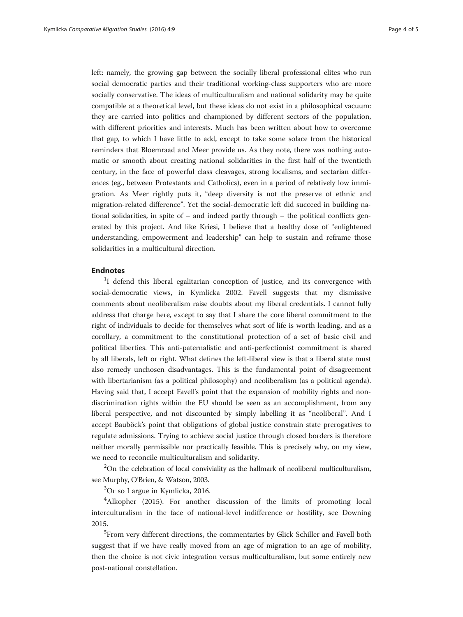left: namely, the growing gap between the socially liberal professional elites who run social democratic parties and their traditional working-class supporters who are more socially conservative. The ideas of multiculturalism and national solidarity may be quite compatible at a theoretical level, but these ideas do not exist in a philosophical vacuum: they are carried into politics and championed by different sectors of the population, with different priorities and interests. Much has been written about how to overcome that gap, to which I have little to add, except to take some solace from the historical reminders that Bloemraad and Meer provide us. As they note, there was nothing automatic or smooth about creating national solidarities in the first half of the twentieth century, in the face of powerful class cleavages, strong localisms, and sectarian differences (eg., between Protestants and Catholics), even in a period of relatively low immigration. As Meer rightly puts it, "deep diversity is not the preserve of ethnic and migration-related difference". Yet the social-democratic left did succeed in building national solidarities, in spite of  $-$  and indeed partly through  $-$  the political conflicts generated by this project. And like Kriesi, I believe that a healthy dose of "enlightened understanding, empowerment and leadership" can help to sustain and reframe those solidarities in a multicultural direction.

#### Endnotes

<sup>1</sup>I defend this liberal egalitarian conception of justice, and its convergence with social-democratic views, in Kymlicka [2002](#page-4-0). Favell suggests that my dismissive comments about neoliberalism raise doubts about my liberal credentials. I cannot fully address that charge here, except to say that I share the core liberal commitment to the right of individuals to decide for themselves what sort of life is worth leading, and as a corollary, a commitment to the constitutional protection of a set of basic civil and political liberties. This anti-paternalistic and anti-perfectionist commitment is shared by all liberals, left or right. What defines the left-liberal view is that a liberal state must also remedy unchosen disadvantages. This is the fundamental point of disagreement with libertarianism (as a political philosophy) and neoliberalism (as a political agenda). Having said that, I accept Favell's point that the expansion of mobility rights and nondiscrimination rights within the EU should be seen as an accomplishment, from any liberal perspective, and not discounted by simply labelling it as "neoliberal". And I accept Bauböck's point that obligations of global justice constrain state prerogatives to regulate admissions. Trying to achieve social justice through closed borders is therefore neither morally permissible nor practically feasible. This is precisely why, on my view, we need to reconcile multiculturalism and solidarity.

 $2$ On the celebration of local conviviality as the hallmark of neoliberal multiculturalism, see Murphy, O'Brien, & Watson, [2003](#page-4-0).

<sup>3</sup>Or so I argue in Kymlicka, [2016.](#page-4-0)

<sup>4</sup>Alkopher ([2015\)](#page-4-0). For another discussion of the limits of promoting local interculturalism in the face of national-level indifference or hostility, see Downing [2015](#page-4-0).

<sup>5</sup>From very different directions, the commentaries by Glick Schiller and Favell both suggest that if we have really moved from an age of migration to an age of mobility, then the choice is not civic integration versus multiculturalism, but some entirely new post-national constellation.